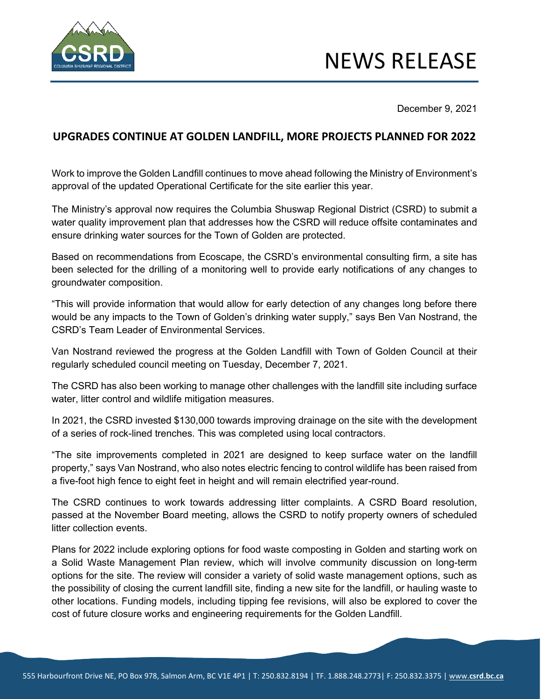

December 9, 2021

## **UPGRADES CONTINUE AT GOLDEN LANDFILL, MORE PROJECTS PLANNED FOR 2022**

Work to improve the Golden Landfill continues to move ahead following the Ministry of Environment's approval of the updated Operational Certificate for the site earlier this year.

The Ministry's approval now requires the Columbia Shuswap Regional District (CSRD) to submit a water quality improvement plan that addresses how the CSRD will reduce offsite contaminates and ensure drinking water sources for the Town of Golden are protected.

Based on recommendations from Ecoscape, the CSRD's environmental consulting firm, a site has been selected for the drilling of a monitoring well to provide early notifications of any changes to groundwater composition.

"This will provide information that would allow for early detection of any changes long before there would be any impacts to the Town of Golden's drinking water supply," says Ben Van Nostrand, the CSRD's Team Leader of Environmental Services.

Van Nostrand reviewed the progress at the Golden Landfill with Town of Golden Council at their regularly scheduled council meeting on Tuesday, December 7, 2021.

The CSRD has also been working to manage other challenges with the landfill site including surface water, litter control and wildlife mitigation measures.

In 2021, the CSRD invested \$130,000 towards improving drainage on the site with the development of a series of rock-lined trenches. This was completed using local contractors.

"The site improvements completed in 2021 are designed to keep surface water on the landfill property," says Van Nostrand, who also notes electric fencing to control wildlife has been raised from a five-foot high fence to eight feet in height and will remain electrified year-round.

The CSRD continues to work towards addressing litter complaints. A CSRD Board resolution, passed at the November Board meeting, allows the CSRD to notify property owners of scheduled litter collection events.

Plans for 2022 include exploring options for food waste composting in Golden and starting work on a Solid Waste Management Plan review, which will involve community discussion on long-term options for the site. The review will consider a variety of solid waste management options, such as the possibility of closing the current landfill site, finding a new site for the landfill, or hauling waste to other locations. Funding models, including tipping fee revisions, will also be explored to cover the cost of future closure works and engineering requirements for the Golden Landfill.